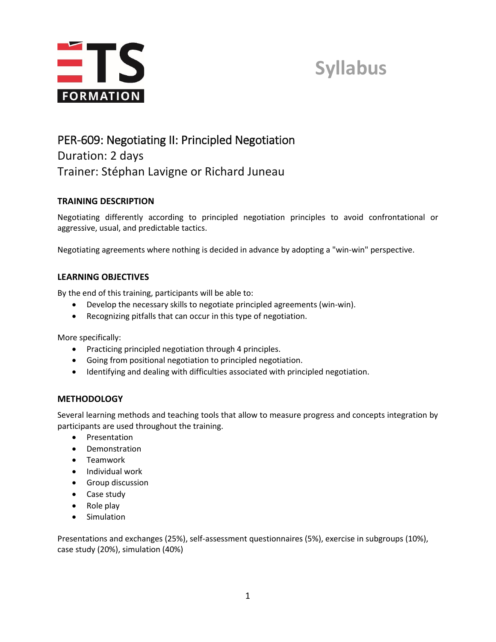

### **Syllabus**

### PER-609: Negotiating II: Principled Negotiation Duration: 2 days Trainer: Stéphan Lavigne or Richard Juneau

#### **TRAINING DESCRIPTION**

Negotiating differently according to principled negotiation principles to avoid confrontational or aggressive, usual, and predictable tactics.

Negotiating agreements where nothing is decided in advance by adopting a "win-win" perspective.

#### **LEARNING OBJECTIVES**

By the end of this training, participants will be able to:

- Develop the necessary skills to negotiate principled agreements (win-win).
- Recognizing pitfalls that can occur in this type of negotiation.

More specifically:

- Practicing principled negotiation through 4 principles.
- Going from positional negotiation to principled negotiation.
- Identifying and dealing with difficulties associated with principled negotiation.

#### **METHODOLOGY**

Several learning methods and teaching tools that allow to measure progress and concepts integration by participants are used throughout the training.

- Presentation
- Demonstration
- Teamwork
- Individual work
- **•** Group discussion
- Case study
- $\bullet$  Role play
- Simulation

Presentations and exchanges (25%), self-assessment questionnaires (5%), exercise in subgroups (10%), case study (20%), simulation (40%)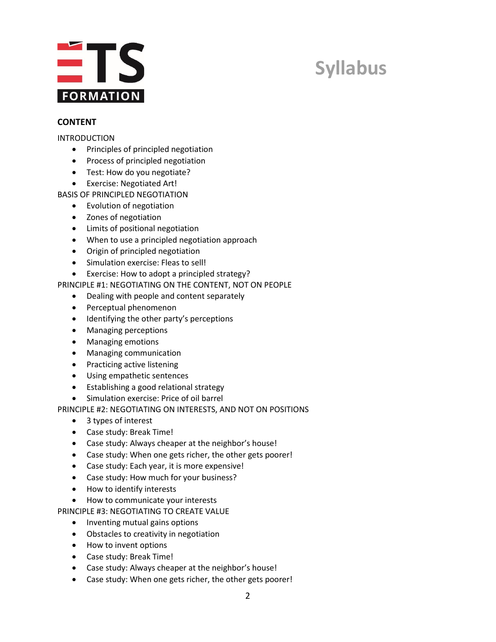

## **Syllabus**

#### **CONTENT**

#### INTRODUCTION

- Principles of principled negotiation
- Process of principled negotiation
- Test: How do you negotiate?
- Exercise: Negotiated Art!

BASIS OF PRINCIPLED NEGOTIATION

- Evolution of negotiation
- Zones of negotiation
- Limits of positional negotiation
- When to use a principled negotiation approach
- Origin of principled negotiation
- Simulation exercise: Fleas to sell!
- Exercise: How to adopt a principled strategy?

PRINCIPLE #1: NEGOTIATING ON THE CONTENT, NOT ON PEOPLE

- Dealing with people and content separately
- Perceptual phenomenon
- Identifying the other party's perceptions
- Managing perceptions
- Managing emotions
- Managing communication
- Practicing active listening
- Using empathetic sentences
- Establishing a good relational strategy
- Simulation exercise: Price of oil barrel

PRINCIPLE #2: NEGOTIATING ON INTERESTS, AND NOT ON POSITIONS

- 3 types of interest
- Case study: Break Time!
- Case study: Always cheaper at the neighbor's house!
- Case study: When one gets richer, the other gets poorer!
- Case study: Each year, it is more expensive!
- Case study: How much for your business?
- How to identify interests
- How to communicate your interests

PRINCIPLE #3: NEGOTIATING TO CREATE VALUE

- Inventing mutual gains options
- Obstacles to creativity in negotiation
- How to invent options
- Case study: Break Time!
- Case study: Always cheaper at the neighbor's house!
- Case study: When one gets richer, the other gets poorer!